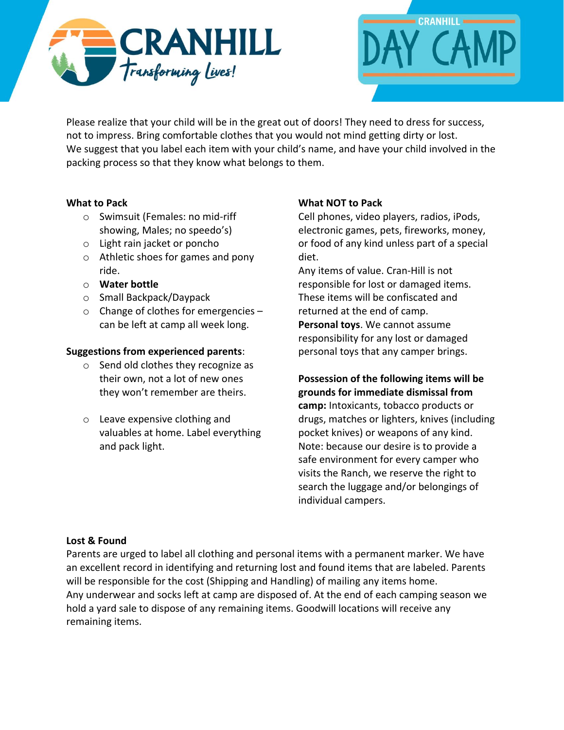



Please realize that your child will be in the great out of doors! They need to dress for success, not to impress. Bring comfortable clothes that you would not mind getting dirty or lost. We suggest that you label each item with your child's name, and have your child involved in the packing process so that they know what belongs to them.

### **What to Pack**

- o Swimsuit (Females: no mid-riff showing, Males; no speedo's)
- o Light rain jacket or poncho
- o Athletic shoes for games and pony ride.
- o **Water bottle**
- o Small Backpack/Daypack
- o Change of clothes for emergencies can be left at camp all week long.

## **Suggestions from experienced parents**:

- o Send old clothes they recognize as their own, not a lot of new ones they won't remember are theirs.
- o Leave expensive clothing and valuables at home. Label everything and pack light.

## **What NOT to Pack**

Cell phones, video players, radios, iPods, electronic games, pets, fireworks, money, or food of any kind unless part of a special diet.

Any items of value. Cran-Hill is not responsible for lost or damaged items. These items will be confiscated and returned at the end of camp. **Personal toys**. We cannot assume responsibility for any lost or damaged personal toys that any camper brings.

# **Possession of the following items will be grounds for immediate dismissal from**

**camp:** Intoxicants, tobacco products or drugs, matches or lighters, knives (including pocket knives) or weapons of any kind. Note: because our desire is to provide a safe environment for every camper who visits the Ranch, we reserve the right to search the luggage and/or belongings of individual campers.

### **Lost & Found**

Parents are urged to label all clothing and personal items with a permanent marker. We have an excellent record in identifying and returning lost and found items that are labeled. Parents will be responsible for the cost (Shipping and Handling) of mailing any items home. Any underwear and socks left at camp are disposed of. At the end of each camping season we hold a yard sale to dispose of any remaining items. Goodwill locations will receive any remaining items.